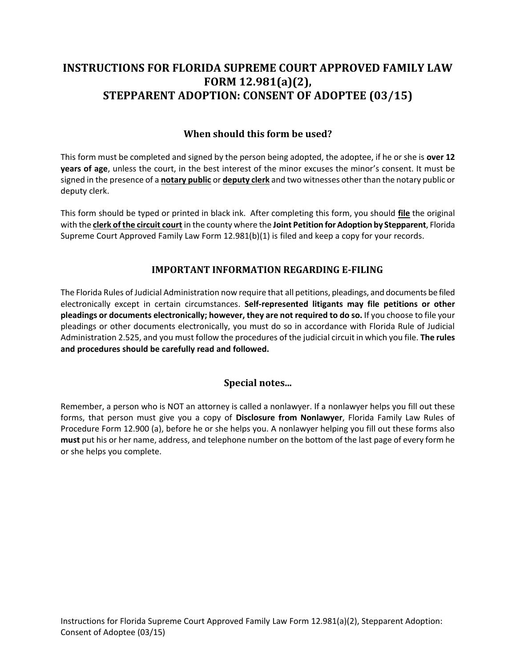# **STEPPARENT ADOPTION: CONSENT OF ADOPTEE (03/15) INSTRUCTIONS FOR FLORIDA SUPREME COURT APPROVED FAMILY LAW FORM 12.981(a)(2),**

### **When should this form be used?**

 This form must be completed and signed by the person being adopted, the adoptee, if he or she is **over 12 years of age**, unless the court, in the best interest of the minor excuses the minor's consent. It must be signed in the presence of a **notary public** or **deputy clerk** and two witnesses other than the notary public or deputy clerk.

 This form should be typed or printed in black ink. After completing this form, you should **file** the original  with the **clerk of the circuit court** in the county where the **Joint Petition for Adoption by Stepparent**, Florida Supreme Court Approved Family Law Form 12.981(b)(1) is filed and keep a copy for your records.

#### **IMPORTANT INFORMATION REGARDING E-FILING**

 The Florida Rules of Judicial Administration now require that all petitions, pleadings, and documents be filed electronically except in certain circumstances. **Self-represented litigants may file petitions or other pleadings or documents electronically; however, they are not required to do so.** If you choose to file your pleadings or other documents electronically, you must do so in accordance with Florida Rule of Judicial Administration 2.525, and you must follow the procedures of the judicial circuit in which you file. **The rules and procedures should be carefully read and followed.** 

### **Special notes...**

 Remember, a person who is NOT an attorney is called a nonlawyer. If a nonlawyer helps you fill out these forms, that person must give you a copy of **Disclosure from Nonlawyer**, Florida Family Law Rules of Procedure Form 12.900 (a), before he or she helps you. A nonlawyer helping you fill out these forms also **must** put his or her name, address, and telephone number on the bottom of the last page of every form he or she helps you complete.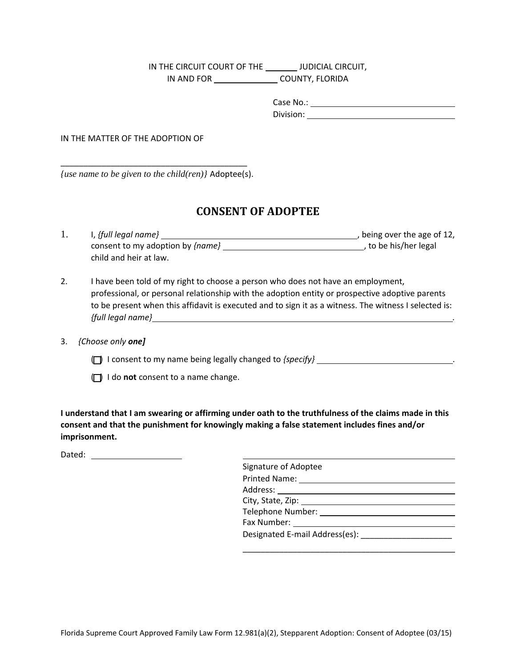IN THE CIRCUIT COURT OF THE JUDICIAL CIRCUIT, IN AND FOR \_\_\_\_\_\_\_\_\_\_\_\_\_\_\_\_\_\_\_COUNTY, FLORIDA

> Case No.:

Division: IN THE MATTER OF THE ADOPTION OF

\_\_\_\_\_\_\_\_\_\_\_\_\_\_\_\_\_\_\_\_\_\_\_\_\_\_\_\_\_\_\_\_\_\_\_\_\_\_\_\_\_ *{use name to be given to the child(ren)}* Adoptee(s).

## **CONSENT OF ADOPTEE**

| $I,$ {full legal name}                  | , being over the age of 12, |  |
|-----------------------------------------|-----------------------------|--|
| consent to my adoption by <i>{name}</i> | , to be his/her legal       |  |
| child and heir at law.                  |                             |  |

 $2.$  professional, or personal relationship with the adoption entity or prospective adoptive parents to be present when this affidavit is executed and to sign it as a witness. The witness I selected is: 2. I have been told of my right to choose a person who does not have an employment, *{full legal name} .* 

3. *{Choose only one]*

( ) I consent to my name being legally changed to *{specify}* .

( ) I do **not** consent to a name change.

 **I understand that I am swearing or affirming under oath to the truthfulness of the claims made in this consent and that the punishment for knowingly making a false statement includes fines and/or imprisonment.** 

Dated:

| Signature of Adoptee                                                                                                                                                                                                           |  |  |  |  |
|--------------------------------------------------------------------------------------------------------------------------------------------------------------------------------------------------------------------------------|--|--|--|--|
|                                                                                                                                                                                                                                |  |  |  |  |
|                                                                                                                                                                                                                                |  |  |  |  |
|                                                                                                                                                                                                                                |  |  |  |  |
|                                                                                                                                                                                                                                |  |  |  |  |
| Fax Number: The Contract of the Contract of the Contract of the Contract of the Contract of the Contract of the Contract of the Contract of the Contract of the Contract of the Contract of the Contract of the Contract of th |  |  |  |  |
|                                                                                                                                                                                                                                |  |  |  |  |
|                                                                                                                                                                                                                                |  |  |  |  |